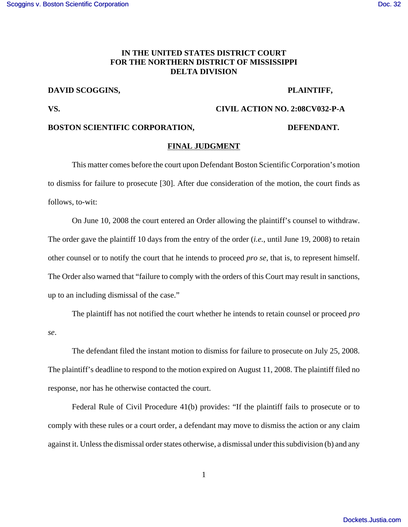### **IN THE UNITED STATES DISTRICT COURT FOR THE NORTHERN DISTRICT OF MISSISSIPPI DELTA DIVISION**

# **DAVID SCOGGINS, PLAINTIFF,**

# **VS. CIVIL ACTION NO. 2:08CV032-P-A**

### BOSTON SCIENTIFIC CORPORATION, DEFENDANT.

## **FINAL JUDGMENT**

This matter comes before the court upon Defendant Boston Scientific Corporation's motion to dismiss for failure to prosecute [30]. After due consideration of the motion, the court finds as follows, to-wit:

On June 10, 2008 the court entered an Order allowing the plaintiff's counsel to withdraw. The order gave the plaintiff 10 days from the entry of the order (*i.e.*, until June 19, 2008) to retain other counsel or to notify the court that he intends to proceed *pro se*, that is, to represent himself. The Order also warned that "failure to comply with the orders of this Court may result in sanctions, up to an including dismissal of the case."

The plaintiff has not notified the court whether he intends to retain counsel or proceed *pro se*.

The defendant filed the instant motion to dismiss for failure to prosecute on July 25, 2008. The plaintiff's deadline to respond to the motion expired on August 11, 2008. The plaintiff filed no response, nor has he otherwise contacted the court.

Federal Rule of Civil Procedure 41(b) provides: "If the plaintiff fails to prosecute or to comply with these rules or a court order, a defendant may move to dismiss the action or any claim against it. Unless the dismissal order states otherwise, a dismissal under this subdivision (b) and any